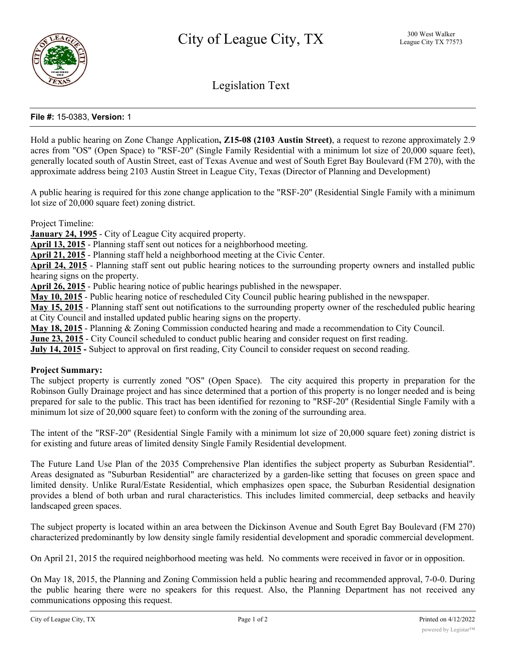

Legislation Text

### **File #:** 15-0383, **Version:** 1

Hold a public hearing on Zone Change Application**, Z15-08 (2103 Austin Street)**, a request to rezone approximately 2.9 acres from "OS" (Open Space) to "RSF-20" (Single Family Residential with a minimum lot size of 20,000 square feet), generally located south of Austin Street, east of Texas Avenue and west of South Egret Bay Boulevard (FM 270), with the approximate address being 2103 Austin Street in League City, Texas (Director of Planning and Development)

A public hearing is required for this zone change application to the "RSF-20" (Residential Single Family with a minimum lot size of 20,000 square feet) zoning district.

Project Timeline:

**January 24, 1995** - City of League City acquired property.

**April 13, 2015** - Planning staff sent out notices for a neighborhood meeting.

**April 21, 2015** - Planning staff held a neighborhood meeting at the Civic Center.

**April 24, 2015** - Planning staff sent out public hearing notices to the surrounding property owners and installed public hearing signs on the property.

**April 26, 2015** - Public hearing notice of public hearings published in the newspaper.

**May 10, 2015** - Public hearing notice of rescheduled City Council public hearing published in the newspaper.

**May 15, 2015** - Planning staff sent out notifications to the surrounding property owner of the rescheduled public hearing at City Council and installed updated public hearing signs on the property.

**May 18, 2015** - Planning & Zoning Commission conducted hearing and made a recommendation to City Council.

**June 23, 2015** - City Council scheduled to conduct public hearing and consider request on first reading.

**July 14, 2015 -** Subject to approval on first reading, City Council to consider request on second reading.

#### **Project Summary:**

The subject property is currently zoned "OS" (Open Space). The city acquired this property in preparation for the Robinson Gully Drainage project and has since determined that a portion of this property is no longer needed and is being prepared for sale to the public. This tract has been identified for rezoning to "RSF-20" (Residential Single Family with a minimum lot size of 20,000 square feet) to conform with the zoning of the surrounding area.

The intent of the "RSF-20" (Residential Single Family with a minimum lot size of 20,000 square feet) zoning district is for existing and future areas of limited density Single Family Residential development.

The Future Land Use Plan of the 2035 Comprehensive Plan identifies the subject property as Suburban Residential". Areas designated as "Suburban Residential" are characterized by a garden-like setting that focuses on green space and limited density. Unlike Rural/Estate Residential, which emphasizes open space, the Suburban Residential designation provides a blend of both urban and rural characteristics. This includes limited commercial, deep setbacks and heavily landscaped green spaces.

The subject property is located within an area between the Dickinson Avenue and South Egret Bay Boulevard (FM 270) characterized predominantly by low density single family residential development and sporadic commercial development.

On April 21, 2015 the required neighborhood meeting was held. No comments were received in favor or in opposition.

On May 18, 2015, the Planning and Zoning Commission held a public hearing and recommended approval, 7-0-0. During the public hearing there were no speakers for this request. Also, the Planning Department has not received any communications opposing this request.